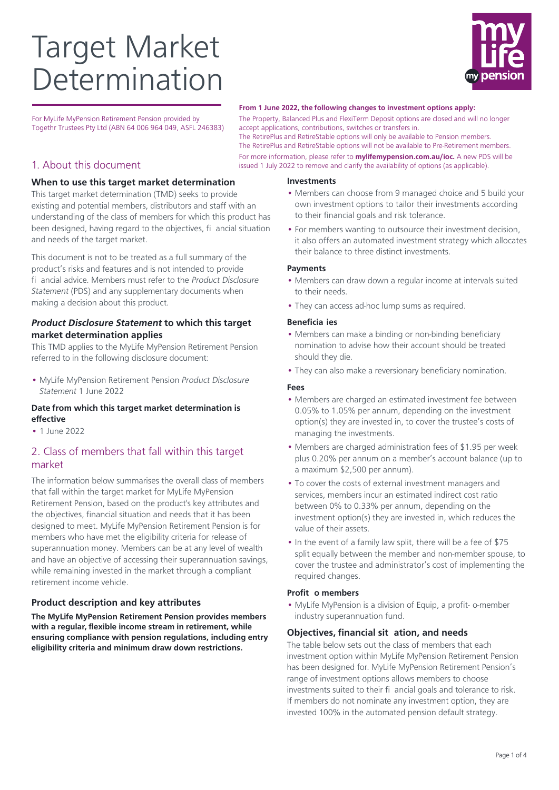# Target Market Determination



For MyLife MyPension Retirement Pension provided by Togethr Trustees Pty Ltd (ABN 64 006 964 049, ASFL 246383)

## 1. About this document

#### **When to use this target market determination**

This target market determination (TMD) seeks to provide existing and potential members, distributors and staff with an understanding of the class of members for which this product has been designed, having regard to the objectives, fi ancial situation and needs of the target market.

This document is not to be treated as a full summary of the product's risks and features and is not intended to provide fi ancial advice. Members must refer to the Product Disclosure Statement (PDS) and any supplementary documents when making a decision about this product.

### **Product Disclosure Statement to which this target market determination applies**

This TMD applies to the MyLife MyPension Retirement Pension referred to in the following disclosure document:

• MyLife MyPension Retirement Pension Product Disclosure Statement 1 June 2022

#### **Date from which this target market determination is effective**

• 1 June 2022

# 2. Class of members that fall within this target market

The information below summarises the overall class of members that fall within the target market for MyLife MyPension Retirement Pension, based on the product's key attributes and the objectives, financial situation and needs that it has been designed to meet. MyLife MyPension Retirement Pension is for members who have met the eligibility criteria for release of superannuation money. Members can be at any level of wealth and have an objective of accessing their superannuation savings, while remaining invested in the market through a compliant retirement income vehicle.

## **Product description and key attributes**

**The MyLife MyPension Retirement Pension provides members with a regular, flexible income stream in retirement, while ensuring compliance with pension regulations, including entry eligibility criteria and minimum draw down restrictions.**

#### **From 1 June 2022, the following changes to investment options apply:**

The Property, Balanced Plus and FlexiTerm Deposit options are closed and will no longer accept applications, contributions, switches or transfers in.

The RetirePlus and RetireStable options will only be available to Pension members. The RetirePlus and RetireStable options will not be available to Pre-Retirement members. For more information, please refer to **mylifemypension.com.au/ioc.** A new PDS will be issued 1 July 2022 to remove and clarify the availability of options (as applicable).

#### **Investments**

- Members can choose from 9 managed choice and 5 build your own investment options to tailor their investments according to their financial goals and risk tolerance.
- For members wanting to outsource their investment decision, it also offers an automated investment strategy which allocates their balance to three distinct investments.

#### **Payments**

- Members can draw down a regular income at intervals suited to their needs.
- They can access ad-hoc lump sums as required.

#### **Beneficia ies**

- Members can make a binding or non-binding beneficiary nomination to advise how their account should be treated should they die.
- They can also make a reversionary beneficiary nomination.

#### **Fees**

- Members are charged an estimated investment fee between 0.05% to 1.05% per annum, depending on the investment option(s) they are invested in, to cover the trustee's costs of managing the investments.
- Members are charged administration fees of \$1.95 per week plus 0.20% per annum on a member's account balance (up to a maximum \$2,500 per annum).
- To cover the costs of external investment managers and services, members incur an estimated indirect cost ratio between 0% to 0.33% per annum, depending on the investment option(s) they are invested in, which reduces the value of their assets.
- In the event of a family law split, there will be a fee of \$75 split equally between the member and non-member spouse, to cover the trustee and administrator's cost of implementing the required changes.

#### **Profit o members**

• MyLife MyPension is a division of Equip, a profit- o-member industry superannuation fund.

#### **Objectives, financial sit ation, and needs**

The table below sets out the class of members that each investment option within MyLife MyPension Retirement Pension has been designed for. MyLife MyPension Retirement Pension's range of investment options allows members to choose investments suited to their fi ancial goals and tolerance to risk. If members do not nominate any investment option, they are invested 100% in the automated pension default strategy.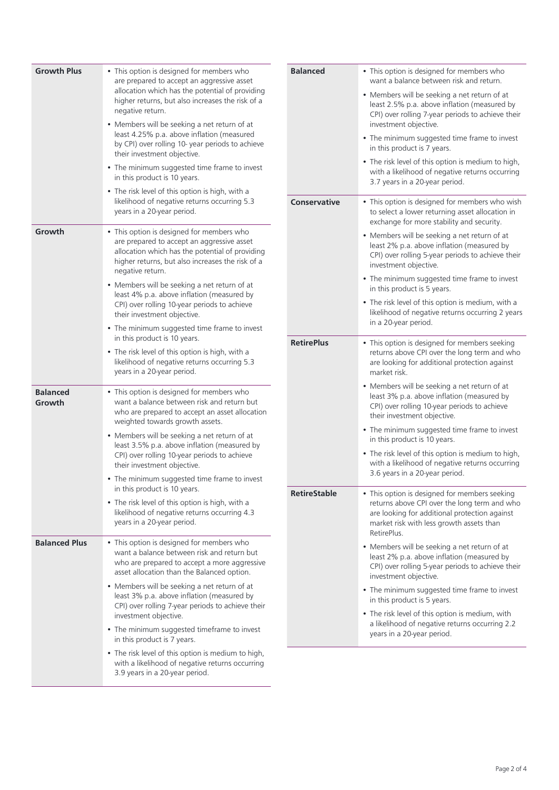| <b>Growth Plus</b>        | • This option is designed for members who<br>are prepared to accept an aggressive asset                                                                                                                            | <b>Balanced</b>     | • This option is designed for members who<br>want a balance between risk and return.                                                                                                                                  |
|---------------------------|--------------------------------------------------------------------------------------------------------------------------------------------------------------------------------------------------------------------|---------------------|-----------------------------------------------------------------------------------------------------------------------------------------------------------------------------------------------------------------------|
|                           | allocation which has the potential of providing<br>higher returns, but also increases the risk of a<br>negative return.                                                                                            |                     | • Members will be seeking a net return of at<br>least 2.5% p.a. above inflation (measured by<br>CPI) over rolling 7-year periods to achieve their                                                                     |
|                           | • Members will be seeking a net return of at<br>least 4.25% p.a. above inflation (measured<br>by CPI) over rolling 10- year periods to achieve<br>their investment objective.                                      |                     | investment objective.<br>• The minimum suggested time frame to invest<br>in this product is 7 years.                                                                                                                  |
|                           | • The minimum suggested time frame to invest<br>in this product is 10 years.                                                                                                                                       |                     | • The risk level of this option is medium to high,<br>with a likelihood of negative returns occurring<br>3.7 years in a 20-year period.                                                                               |
|                           | • The risk level of this option is high, with a<br>likelihood of negative returns occurring 5.3<br>years in a 20-year period.                                                                                      | <b>Conservative</b> | • This option is designed for members who wish<br>to select a lower returning asset allocation in                                                                                                                     |
| Growth                    | • This option is designed for members who<br>are prepared to accept an aggressive asset<br>allocation which has the potential of providing<br>higher returns, but also increases the risk of a<br>negative return. |                     | exchange for more stability and security.<br>• Members will be seeking a net return of at<br>least 2% p.a. above inflation (measured by<br>CPI) over rolling 5-year periods to achieve their<br>investment objective. |
|                           | • Members will be seeking a net return of at<br>least 4% p.a. above inflation (measured by<br>CPI) over rolling 10-year periods to achieve                                                                         |                     | • The minimum suggested time frame to invest<br>in this product is 5 years.<br>• The risk level of this option is medium, with a                                                                                      |
|                           | their investment objective.<br>• The minimum suggested time frame to invest<br>in this product is 10 years.                                                                                                        |                     | likelihood of negative returns occurring 2 years<br>in a 20-year period.                                                                                                                                              |
|                           | • The risk level of this option is high, with a<br>likelihood of negative returns occurring 5.3<br>years in a 20-year period.                                                                                      | <b>RetirePlus</b>   | • This option is designed for members seeking<br>returns above CPI over the long term and who<br>are looking for additional protection against<br>market risk.                                                        |
| <b>Balanced</b><br>Growth | • This option is designed for members who<br>want a balance between risk and return but<br>who are prepared to accept an asset allocation<br>weighted towards growth assets.                                       |                     | • Members will be seeking a net return of at<br>least 3% p.a. above inflation (measured by<br>CPI) over rolling 10-year periods to achieve<br>their investment objective.                                             |
|                           | • Members will be seeking a net return of at<br>least 3.5% p.a. above inflation (measured by                                                                                                                       |                     | • The minimum suggested time frame to invest<br>in this product is 10 years.                                                                                                                                          |
|                           | CPI) over rolling 10-year periods to achieve<br>their investment objective.                                                                                                                                        |                     | • The risk level of this option is medium to high,<br>with a likelihood of negative returns occurring<br>3.6 years in a 20-year period.                                                                               |
|                           | • The minimum suggested time frame to invest<br>in this product is 10 years.                                                                                                                                       | <b>RetireStable</b> | • This option is designed for members seeking                                                                                                                                                                         |
|                           | • The risk level of this option is high, with a<br>likelihood of negative returns occurring 4.3<br>years in a 20-year period.                                                                                      |                     | returns above CPI over the long term and who<br>are looking for additional protection against<br>market risk with less growth assets than<br>RetirePlus.                                                              |
| <b>Balanced Plus</b>      | • This option is designed for members who<br>want a balance between risk and return but<br>who are prepared to accept a more aggressive<br>asset allocation than the Balanced option.                              |                     | • Members will be seeking a net return of at<br>least 2% p.a. above inflation (measured by<br>CPI) over rolling 5-year periods to achieve their<br>investment objective.                                              |
|                           | • Members will be seeking a net return of at<br>least 3% p.a. above inflation (measured by<br>CPI) over rolling 7-year periods to achieve their                                                                    |                     | • The minimum suggested time frame to invest<br>in this product is 5 years.                                                                                                                                           |
|                           | investment objective.<br>• The minimum suggested timeframe to invest<br>in this product is 7 years.                                                                                                                |                     | • The risk level of this option is medium, with<br>a likelihood of negative returns occurring 2.2<br>years in a 20-year period.                                                                                       |
|                           | • The risk level of this option is medium to high,<br>with a likelihood of negative returns occurring<br>3.9 years in a 20-year period.                                                                            |                     |                                                                                                                                                                                                                       |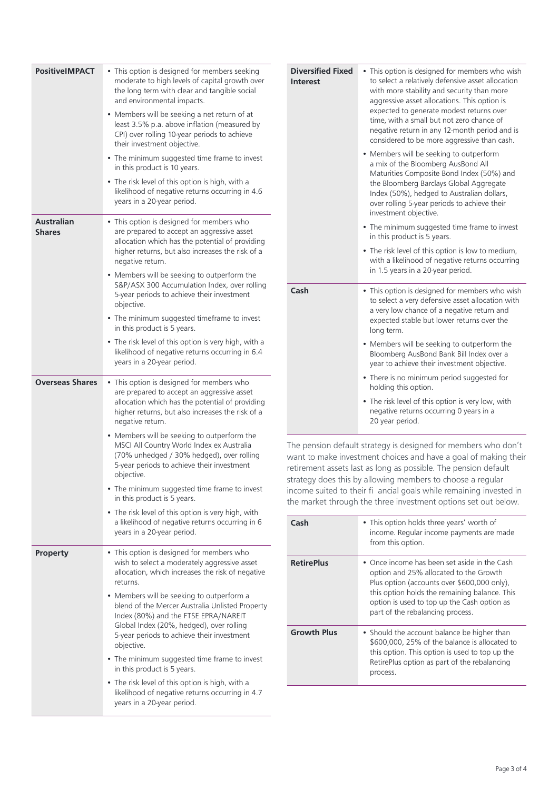| <b>PositiveIMPACT</b>              | • This option is designed for members seeking<br>moderate to high levels of capital growth over<br>the long term with clear and tangible social<br>and environmental impacts.                                                                |
|------------------------------------|----------------------------------------------------------------------------------------------------------------------------------------------------------------------------------------------------------------------------------------------|
|                                    | • Members will be seeking a net return of at<br>least 3.5% p.a. above inflation (measured by<br>CPI) over rolling 10-year periods to achieve<br>their investment objective.                                                                  |
|                                    | • The minimum suggested time frame to invest<br>in this product is 10 years.                                                                                                                                                                 |
|                                    | • The risk level of this option is high, with a<br>likelihood of negative returns occurring in 4.6<br>years in a 20-year period.                                                                                                             |
| <b>Australian</b><br><b>Shares</b> | • This option is designed for members who<br>are prepared to accept an aggressive asset<br>allocation which has the potential of providing<br>higher returns, but also increases the risk of a<br>negative return.                           |
|                                    | • Members will be seeking to outperform the<br>S&P/ASX 300 Accumulation Index, over rolling<br>5-year periods to achieve their investment<br>objective.                                                                                      |
|                                    | • The minimum suggested timeframe to invest<br>in this product is 5 years.                                                                                                                                                                   |
|                                    | • The risk level of this option is very high, with a<br>likelihood of negative returns occurring in 6.4<br>years in a 20-year period.                                                                                                        |
| <b>Overseas Shares</b>             | • This option is designed for members who<br>are prepared to accept an aggressive asset<br>allocation which has the potential of providing<br>higher returns, but also increases the risk of a<br>negative return.                           |
|                                    | • Members will be seeking to outperform the<br>MSCI All Country World Index ex Australia<br>(70% unhedged / 30% hedged), over rolling<br>5-year periods to achieve their investment<br>objective.                                            |
|                                    | • The minimum suggested time frame to invest<br>in this product is 5 years.                                                                                                                                                                  |
|                                    | • The risk level of this option is very high, with<br>a likelihood of negative returns occurring in 6<br>years in a 20-year period.                                                                                                          |
| <b>Property</b>                    | • This option is designed for members who<br>wish to select a moderately aggressive asset<br>allocation, which increases the risk of negative<br>returns.                                                                                    |
|                                    | • Members will be seeking to outperform a<br>blend of the Mercer Australia Unlisted Property<br>Index (80%) and the FTSE EPRA/NAREIT<br>Global Index (20%, hedged), over rolling<br>5-year periods to achieve their investment<br>objective. |
|                                    | • The minimum suggested time frame to invest<br>in this product is 5 years.                                                                                                                                                                  |
|                                    | • The risk level of this option is high, with a<br>likelihood of negative returns occurring in 4.7<br>years in a 20-year period.                                                                                                             |

| <b>Diversified Fixed</b><br><b>Interest</b> | • This option is designed for members who wish<br>to select a relatively defensive asset allocation<br>with more stability and security than more<br>aggressive asset allocations. This option is<br>expected to generate modest returns over<br>time, with a small but not zero chance of<br>negative return in any 12-month period and is<br>considered to be more aggressive than cash. |
|---------------------------------------------|--------------------------------------------------------------------------------------------------------------------------------------------------------------------------------------------------------------------------------------------------------------------------------------------------------------------------------------------------------------------------------------------|
|                                             | • Members will be seeking to outperform<br>a mix of the Bloomberg AusBond All<br>Maturities Composite Bond Index (50%) and<br>the Bloomberg Barclays Global Aggregate<br>Index (50%), hedged to Australian dollars,<br>over rolling 5-year periods to achieve their<br>investment objective.                                                                                               |
|                                             | • The minimum suggested time frame to invest<br>in this product is 5 years.                                                                                                                                                                                                                                                                                                                |
|                                             | • The risk level of this option is low to medium,<br>with a likelihood of negative returns occurring<br>in 1.5 years in a 20-year period.                                                                                                                                                                                                                                                  |
| Cash                                        | • This option is designed for members who wish<br>to select a very defensive asset allocation with<br>a very low chance of a negative return and<br>expected stable but lower returns over the<br>long term.                                                                                                                                                                               |
|                                             | • Members will be seeking to outperform the<br>Bloomberg AusBond Bank Bill Index over a<br>year to achieve their investment objective.                                                                                                                                                                                                                                                     |
|                                             | • There is no minimum period suggested for<br>holding this option.                                                                                                                                                                                                                                                                                                                         |
|                                             | • The risk level of this option is very low, with<br>negative returns occurring 0 years in a<br>20 year period.                                                                                                                                                                                                                                                                            |

The pension default strategy is designed for members who don't want to make investment choices and have a goal of making their retirement assets last as long as possible. The pension default strategy does this by allowing members to choose a regular income suited to their fi ancial goals while remaining invested in the market through the three investment options set out below.

| Cash               | • This option holds three years' worth of<br>income. Regular income payments are made<br>from this option.                                                                                                                                                                |
|--------------------|---------------------------------------------------------------------------------------------------------------------------------------------------------------------------------------------------------------------------------------------------------------------------|
| <b>RetirePlus</b>  | • Once income has been set aside in the Cash<br>option and 25% allocated to the Growth<br>Plus option (accounts over \$600,000 only).<br>this option holds the remaining balance. This<br>option is used to top up the Cash option as<br>part of the rebalancing process. |
| <b>Growth Plus</b> | • Should the account balance be higher than<br>\$600,000, 25% of the balance is allocated to<br>this option. This option is used to top up the<br>RetirePlus option as part of the rebalancing<br>process.                                                                |